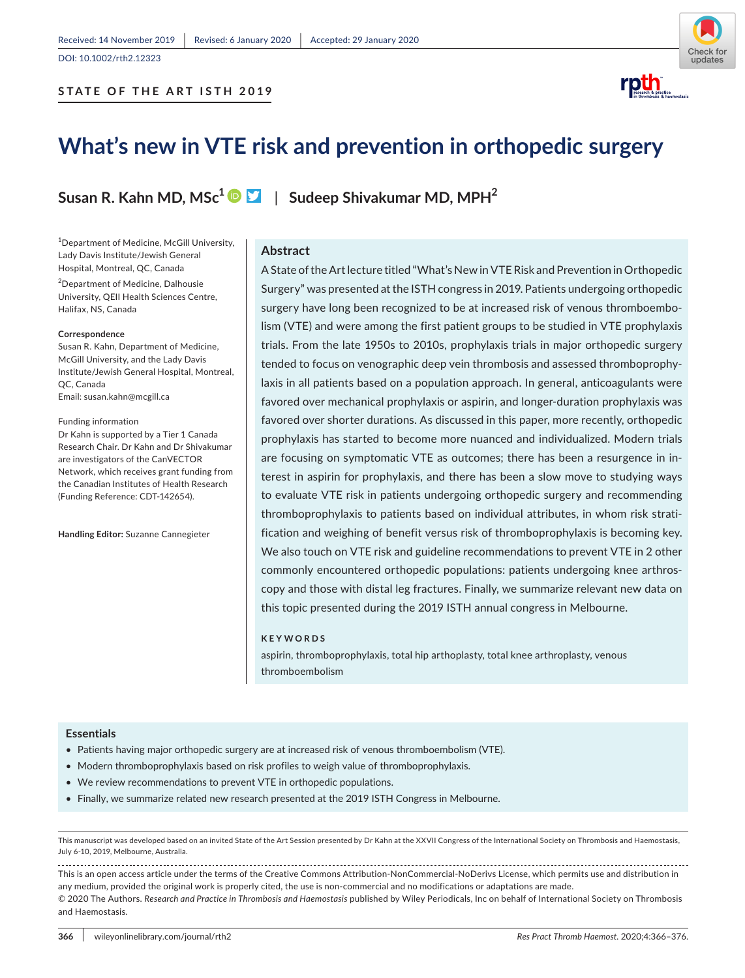

# **STATE OF THE ART ISTH 2019**

# **What's new in VTE risk and prevention in orthopedic surgery**

**Susan R. Kahn MD, MSc1** | **Sudeep Shivakumar MD, MPH2**

1 Department of Medicine, McGill University, Lady Davis Institute/Jewish General Hospital, Montreal, QC, Canada

2 Department of Medicine, Dalhousie University, QEII Health Sciences Centre, Halifax, NS, Canada

#### **Correspondence**

Susan R. Kahn, Department of Medicine, McGill University, and the Lady Davis Institute/Jewish General Hospital, Montreal, QC, Canada Email: susan.kahn@mcgill.ca

#### Funding information

Dr Kahn is supported by a Tier 1 Canada Research Chair. Dr Kahn and Dr Shivakumar are investigators of the CanVECTOR Network, which receives grant funding from the Canadian Institutes of Health Research (Funding Reference: CDT-142654).

**Handling Editor:** Suzanne Cannegieter

## **Abstract**

A State of the Art lecture titled "What's New in VTE Risk and Prevention in Orthopedic Surgery" was presented at the ISTH congress in 2019. Patients undergoing orthopedic surgery have long been recognized to be at increased risk of venous thromboembolism (VTE) and were among the first patient groups to be studied in VTE prophylaxis trials. From the late 1950s to 2010s, prophylaxis trials in major orthopedic surgery tended to focus on venographic deep vein thrombosis and assessed thromboprophylaxis in all patients based on a population approach. In general, anticoagulants were favored over mechanical prophylaxis or aspirin, and longer-duration prophylaxis was favored over shorter durations. As discussed in this paper, more recently, orthopedic prophylaxis has started to become more nuanced and individualized. Modern trials are focusing on symptomatic VTE as outcomes; there has been a resurgence in interest in aspirin for prophylaxis, and there has been a slow move to studying ways to evaluate VTE risk in patients undergoing orthopedic surgery and recommending thromboprophylaxis to patients based on individual attributes, in whom risk stratification and weighing of benefit versus risk of thromboprophylaxis is becoming key. We also touch on VTE risk and guideline recommendations to prevent VTE in 2 other commonly encountered orthopedic populations: patients undergoing knee arthroscopy and those with distal leg fractures. Finally, we summarize relevant new data on this topic presented during the 2019 ISTH annual congress in Melbourne.

#### **KEYWORDS**

aspirin, thromboprophylaxis, total hip arthoplasty, total knee arthroplasty, venous thromboembolism

#### **Essentials**

- Patients having major orthopedic surgery are at increased risk of venous thromboembolism (VTE).
- Modern thromboprophylaxis based on risk profiles to weigh value of thromboprophylaxis.
- We review recommendations to prevent VTE in orthopedic populations.
- Finally, we summarize related new research presented at the 2019 ISTH Congress in Melbourne.

This is an open access article under the terms of the Creative Commons Attribution-NonCommercial-NoDerivs License, which permits use and distribution in any medium, provided the original work is properly cited, the use is non-commercial and no modifications or adaptations are made. © 2020 The Authors. *Research and Practice in Thrombosis and Haemostasis* published by Wiley Periodicals, Inc on behalf of International Society on Thrombosis and Haemostasis.

This manuscript was developed based on an invited State of the Art Session presented by Dr Kahn at the XXVII Congress of the International Society on Thrombosis and Haemostasis, July 6-10, 2019, Melbourne, Australia.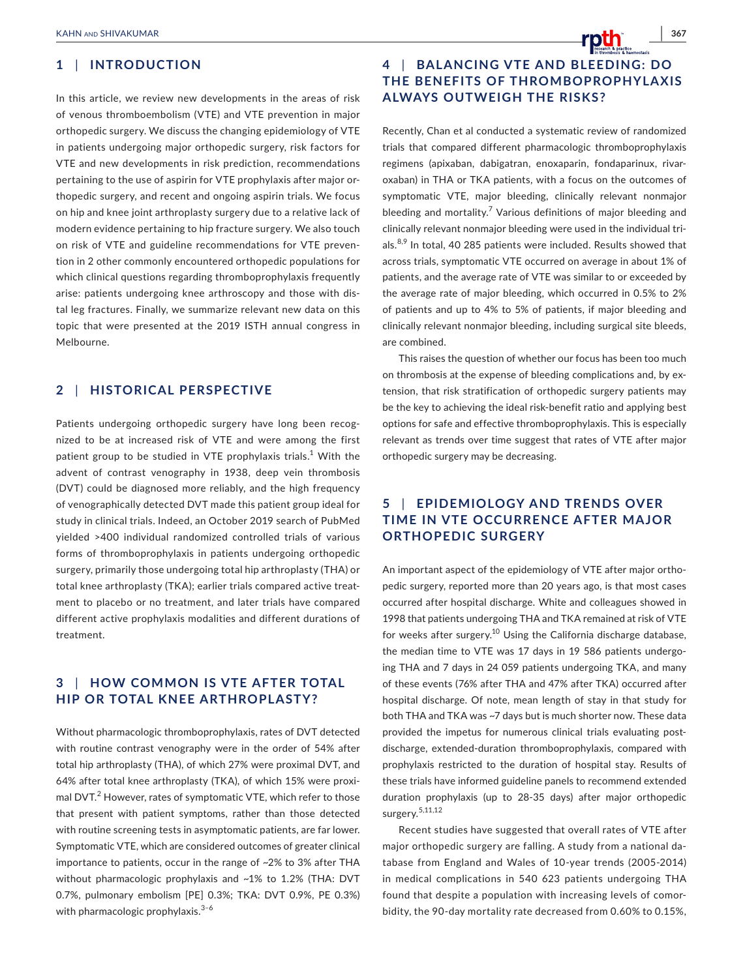## **1** | **INTRODUCTION**

In this article, we review new developments in the areas of risk of venous thromboembolism (VTE) and VTE prevention in major orthopedic surgery. We discuss the changing epidemiology of VTE in patients undergoing major orthopedic surgery, risk factors for VTE and new developments in risk prediction, recommendations pertaining to the use of aspirin for VTE prophylaxis after major orthopedic surgery, and recent and ongoing aspirin trials. We focus on hip and knee joint arthroplasty surgery due to a relative lack of modern evidence pertaining to hip fracture surgery. We also touch on risk of VTE and guideline recommendations for VTE prevention in 2 other commonly encountered orthopedic populations for which clinical questions regarding thromboprophylaxis frequently arise: patients undergoing knee arthroscopy and those with distal leg fractures. Finally, we summarize relevant new data on this topic that were presented at the 2019 ISTH annual congress in Melbourne.

# **2** | **HISTORICAL PERSPECTIVE**

Patients undergoing orthopedic surgery have long been recognized to be at increased risk of VTE and were among the first patient group to be studied in VTE prophylaxis trials.<sup>1</sup> With the advent of contrast venography in 1938, deep vein thrombosis (DVT) could be diagnosed more reliably, and the high frequency of venographically detected DVT made this patient group ideal for study in clinical trials. Indeed, an October 2019 search of PubMed yielded >400 individual randomized controlled trials of various forms of thromboprophylaxis in patients undergoing orthopedic surgery, primarily those undergoing total hip arthroplasty (THA) or total knee arthroplasty (TKA); earlier trials compared active treatment to placebo or no treatment, and later trials have compared different active prophylaxis modalities and different durations of treatment.

# **3** | **HOW COMMON IS VTE AFTER TOTAL HIP OR TOTAL KNEE ARTHROPLASTY?**

Without pharmacologic thromboprophylaxis, rates of DVT detected with routine contrast venography were in the order of 54% after total hip arthroplasty (THA), of which 27% were proximal DVT, and 64% after total knee arthroplasty (TKA), of which 15% were proximal DVT. $^2$  However, rates of symptomatic VTE, which refer to those that present with patient symptoms, rather than those detected with routine screening tests in asymptomatic patients, are far lower. Symptomatic VTE, which are considered outcomes of greater clinical importance to patients, occur in the range of ~2% to 3% after THA without pharmacologic prophylaxis and ~1% to 1.2% (THA: DVT 0.7%, pulmonary embolism [PE] 0.3%; TKA: DVT 0.9%, PE 0.3%) with pharmacologic prophylaxis. $3-6$ 

**4** | **BALANCING VTE AND BLEEDING: DO THE BENEFITS OF THROMBOPROPHYLAXIS ALWAYS OUTWEIGH THE RISKS?**

Recently, Chan et al conducted a systematic review of randomized trials that compared different pharmacologic thromboprophylaxis regimens (apixaban, dabigatran, enoxaparin, fondaparinux, rivaroxaban) in THA or TKA patients, with a focus on the outcomes of symptomatic VTE, major bleeding, clinically relevant nonmajor bleeding and mortality.<sup>7</sup> Various definitions of major bleeding and clinically relevant nonmajor bleeding were used in the individual trials.<sup>8,9</sup> In total, 40 285 patients were included. Results showed that across trials, symptomatic VTE occurred on average in about 1% of patients, and the average rate of VTE was similar to or exceeded by the average rate of major bleeding, which occurred in 0.5% to 2% of patients and up to 4% to 5% of patients, if major bleeding and clinically relevant nonmajor bleeding, including surgical site bleeds, are combined.

This raises the question of whether our focus has been too much on thrombosis at the expense of bleeding complications and, by extension, that risk stratification of orthopedic surgery patients may be the key to achieving the ideal risk-benefit ratio and applying best options for safe and effective thromboprophylaxis. This is especially relevant as trends over time suggest that rates of VTE after major orthopedic surgery may be decreasing.

# **5** | **EPIDEMIOLOGY AND TRENDS OVER TIME IN VTE OCCURRENCE AFTER MAJOR ORTHOPEDIC SURGERY**

An important aspect of the epidemiology of VTE after major orthopedic surgery, reported more than 20 years ago, is that most cases occurred after hospital discharge. White and colleagues showed in 1998 that patients undergoing THA and TKA remained at risk of VTE for weeks after surgery.<sup>10</sup> Using the California discharge database, the median time to VTE was 17 days in 19 586 patients undergoing THA and 7 days in 24 059 patients undergoing TKA, and many of these events (76% after THA and 47% after TKA) occurred after hospital discharge. Of note, mean length of stay in that study for both THA and TKA was ~7 days but is much shorter now. These data provided the impetus for numerous clinical trials evaluating postdischarge, extended-duration thromboprophylaxis, compared with prophylaxis restricted to the duration of hospital stay. Results of these trials have informed guideline panels to recommend extended duration prophylaxis (up to 28-35 days) after major orthopedic surgery.5,11,12

Recent studies have suggested that overall rates of VTE after major orthopedic surgery are falling. A study from a national database from England and Wales of 10-year trends (2005-2014) in medical complications in 540 623 patients undergoing THA found that despite a population with increasing levels of comorbidity, the 90-day mortality rate decreased from 0.60% to 0.15%,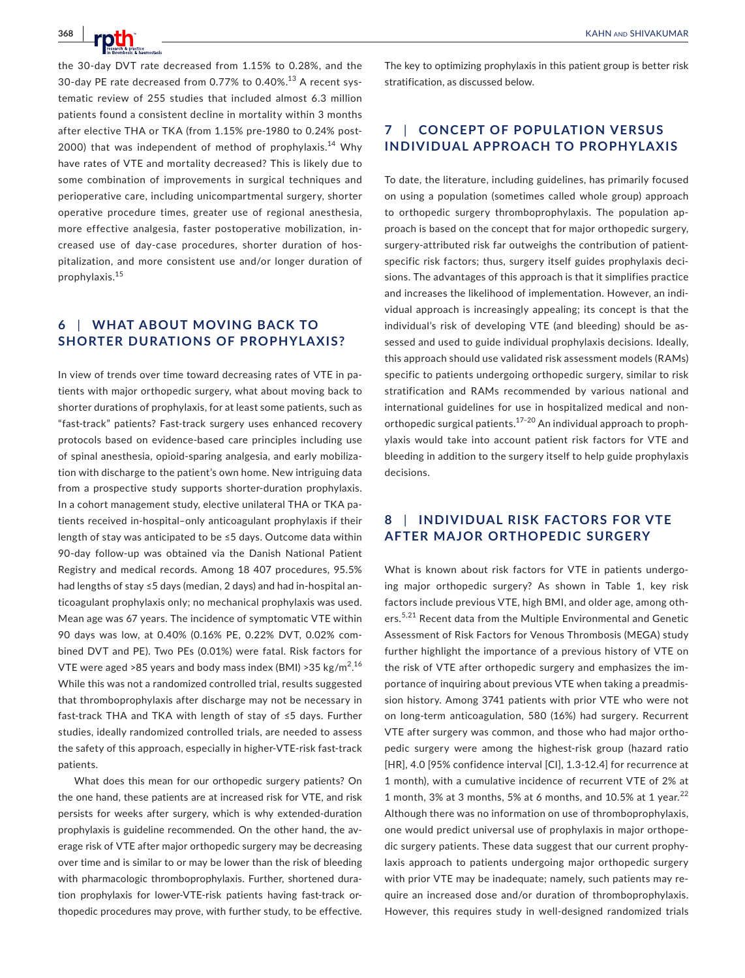the 30-day DVT rate decreased from 1.15% to 0.28%, and the 30-day PE rate decreased from 0.77% to 0.40%.13 A recent systematic review of 255 studies that included almost 6.3 million patients found a consistent decline in mortality within 3 months after elective THA or TKA (from 1.15% pre-1980 to 0.24% post-2000) that was independent of method of prophylaxis.<sup>14</sup> Why have rates of VTE and mortality decreased? This is likely due to some combination of improvements in surgical techniques and perioperative care, including unicompartmental surgery, shorter operative procedure times, greater use of regional anesthesia, more effective analgesia, faster postoperative mobilization, increased use of day-case procedures, shorter duration of hospitalization, and more consistent use and/or longer duration of prophylaxis.<sup>15</sup>

# **6** | **WHAT ABOUT MOVING BACK TO SHORTER DURATIONS OF PROPHYLAXIS?**

In view of trends over time toward decreasing rates of VTE in patients with major orthopedic surgery, what about moving back to shorter durations of prophylaxis, for at least some patients, such as "fast-track" patients? Fast-track surgery uses enhanced recovery protocols based on evidence-based care principles including use of spinal anesthesia, opioid-sparing analgesia, and early mobilization with discharge to the patient's own home. New intriguing data from a prospective study supports shorter-duration prophylaxis. In a cohort management study, elective unilateral THA or TKA patients received in-hospital–only anticoagulant prophylaxis if their length of stay was anticipated to be ≤5 days. Outcome data within 90-day follow-up was obtained via the Danish National Patient Registry and medical records. Among 18 407 procedures, 95.5% had lengths of stay ≤5 days (median, 2 days) and had in-hospital anticoagulant prophylaxis only; no mechanical prophylaxis was used. Mean age was 67 years. The incidence of symptomatic VTE within 90 days was low, at 0.40% (0.16% PE, 0.22% DVT, 0.02% combined DVT and PE). Two PEs (0.01%) were fatal. Risk factors for VTE were aged >85 years and body mass index (BMI) >35 kg/m $^{\rm 2.16}$ While this was not a randomized controlled trial, results suggested that thromboprophylaxis after discharge may not be necessary in fast-track THA and TKA with length of stay of ≤5 days. Further studies, ideally randomized controlled trials, are needed to assess the safety of this approach, especially in higher-VTE-risk fast-track patients.

What does this mean for our orthopedic surgery patients? On the one hand, these patients are at increased risk for VTE, and risk persists for weeks after surgery, which is why extended-duration prophylaxis is guideline recommended. On the other hand, the average risk of VTE after major orthopedic surgery may be decreasing over time and is similar to or may be lower than the risk of bleeding with pharmacologic thromboprophylaxis. Further, shortened duration prophylaxis for lower-VTE-risk patients having fast-track orthopedic procedures may prove, with further study, to be effective.

The key to optimizing prophylaxis in this patient group is better risk stratification, as discussed below.

# **7** | **CONCEPT OF POPULATION VERSUS INDIVIDUAL APPROACH TO PROPHYLAXIS**

To date, the literature, including guidelines, has primarily focused on using a population (sometimes called whole group) approach to orthopedic surgery thromboprophylaxis. The population approach is based on the concept that for major orthopedic surgery, surgery-attributed risk far outweighs the contribution of patientspecific risk factors; thus, surgery itself guides prophylaxis decisions. The advantages of this approach is that it simplifies practice and increases the likelihood of implementation. However, an individual approach is increasingly appealing; its concept is that the individual's risk of developing VTE (and bleeding) should be assessed and used to guide individual prophylaxis decisions. Ideally, this approach should use validated risk assessment models (RAMs) specific to patients undergoing orthopedic surgery, similar to risk stratification and RAMs recommended by various national and international guidelines for use in hospitalized medical and nonorthopedic surgical patients.<sup>17-20</sup> An individual approach to prophylaxis would take into account patient risk factors for VTE and bleeding in addition to the surgery itself to help guide prophylaxis decisions.

# **8** | **INDIVIDUAL RISK FACTORS FOR VTE AFTER MAJOR ORTHOPEDIC SURGERY**

What is known about risk factors for VTE in patients undergoing major orthopedic surgery? As shown in Table 1, key risk factors include previous VTE, high BMI, and older age, among others.<sup>5,21</sup> Recent data from the Multiple Environmental and Genetic Assessment of Risk Factors for Venous Thrombosis (MEGA) study further highlight the importance of a previous history of VTE on the risk of VTE after orthopedic surgery and emphasizes the importance of inquiring about previous VTE when taking a preadmission history. Among 3741 patients with prior VTE who were not on long-term anticoagulation, 580 (16%) had surgery. Recurrent VTE after surgery was common, and those who had major orthopedic surgery were among the highest-risk group (hazard ratio [HR], 4.0 [95% confidence interval [CI], 1.3-12.4] for recurrence at 1 month), with a cumulative incidence of recurrent VTE of 2% at 1 month, 3% at 3 months, 5% at 6 months, and 10.5% at 1 year.<sup>22</sup> Although there was no information on use of thromboprophylaxis, one would predict universal use of prophylaxis in major orthopedic surgery patients. These data suggest that our current prophylaxis approach to patients undergoing major orthopedic surgery with prior VTE may be inadequate; namely, such patients may require an increased dose and/or duration of thromboprophylaxis. However, this requires study in well-designed randomized trials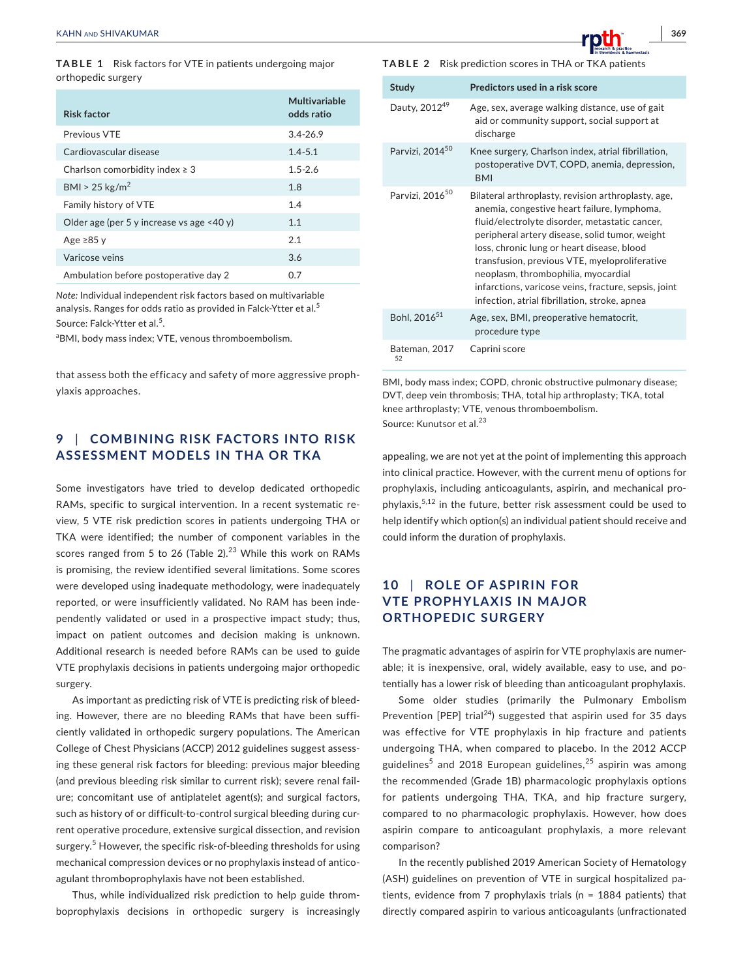**TABLE 1** Risk factors for VTE in patients undergoing major orthopedic surgery

| <b>Risk factor</b>                        | Multivariable<br>odds ratio |
|-------------------------------------------|-----------------------------|
| Previous VTE                              | $3.4 - 26.9$                |
| Cardiovascular disease                    | $1.4 - 5.1$                 |
| Charlson comorbidity index $\geq 3$       | $1.5 - 2.6$                 |
| BMI > 25 kg/m <sup>2</sup>                | 1.8                         |
| Family history of VTE                     | 1.4                         |
| Older age (per 5 y increase vs age <40 y) | 1.1                         |
| Age $\geq$ 85 y                           | 2.1                         |
| Varicose veins                            | 3.6                         |
| Ambulation before postoperative day 2     | 0.7                         |

*Note:* Individual independent risk factors based on multivariable analysis. Ranges for odds ratio as provided in Falck-Ytter et al.<sup>5</sup> Source: Falck-Ytter et al.<sup>5</sup>.

a BMI, body mass index; VTE, venous thromboembolism.

that assess both the efficacy and safety of more aggressive prophylaxis approaches.

# **9** | **COMBINING RISK FACTORS INTO RISK ASSESSMENT MODELS IN THA OR TKA**

Some investigators have tried to develop dedicated orthopedic RAMs, specific to surgical intervention. In a recent systematic review, 5 VTE risk prediction scores in patients undergoing THA or TKA were identified; the number of component variables in the scores ranged from 5 to 26 (Table  $2$ ).<sup>23</sup> While this work on RAMs is promising, the review identified several limitations. Some scores were developed using inadequate methodology, were inadequately reported, or were insufficiently validated. No RAM has been independently validated or used in a prospective impact study; thus, impact on patient outcomes and decision making is unknown. Additional research is needed before RAMs can be used to guide VTE prophylaxis decisions in patients undergoing major orthopedic surgery.

As important as predicting risk of VTE is predicting risk of bleeding. However, there are no bleeding RAMs that have been sufficiently validated in orthopedic surgery populations. The American College of Chest Physicians (ACCP) 2012 guidelines suggest assessing these general risk factors for bleeding: previous major bleeding (and previous bleeding risk similar to current risk); severe renal failure; concomitant use of antiplatelet agent(s); and surgical factors, such as history of or difficult-to-control surgical bleeding during current operative procedure, extensive surgical dissection, and revision surgery.<sup>5</sup> However, the specific risk-of-bleeding thresholds for using mechanical compression devices or no prophylaxis instead of anticoagulant thromboprophylaxis have not been established.

Thus, while individualized risk prediction to help guide thromboprophylaxis decisions in orthopedic surgery is increasingly

#### **TABLE 2** Risk prediction scores in THA or TKA patients

| Study                       | Predictors used in a risk score                                                                                                                                                                                                                                                                                                                                                                                                                       |
|-----------------------------|-------------------------------------------------------------------------------------------------------------------------------------------------------------------------------------------------------------------------------------------------------------------------------------------------------------------------------------------------------------------------------------------------------------------------------------------------------|
| Dauty, 2012 <sup>49</sup>   | Age, sex, average walking distance, use of gait<br>aid or community support, social support at<br>discharge                                                                                                                                                                                                                                                                                                                                           |
| Parvizi, 2014 <sup>50</sup> | Knee surgery, Charlson index, atrial fibrillation,<br>postoperative DVT, COPD, anemia, depression,<br><b>BMI</b>                                                                                                                                                                                                                                                                                                                                      |
| Parvizi, 2016 <sup>50</sup> | Bilateral arthroplasty, revision arthroplasty, age,<br>anemia, congestive heart failure, lymphoma,<br>fluid/electrolyte disorder, metastatic cancer,<br>peripheral artery disease, solid tumor, weight<br>loss, chronic lung or heart disease, blood<br>transfusion, previous VTE, myeloproliferative<br>neoplasm, thrombophilia, myocardial<br>infarctions, varicose veins, fracture, sepsis, joint<br>infection, atrial fibrillation, stroke, apnea |
| Bohl. 2016 <sup>51</sup>    | Age, sex, BMI, preoperative hematocrit,<br>procedure type                                                                                                                                                                                                                                                                                                                                                                                             |
| Bateman, 2017<br>52         | Caprini score                                                                                                                                                                                                                                                                                                                                                                                                                                         |

BMI, body mass index; COPD, chronic obstructive pulmonary disease; DVT, deep vein thrombosis; THA, total hip arthroplasty; TKA, total knee arthroplasty; VTE, venous thromboembolism. Source: Kunutsor et al.<sup>23</sup>

appealing, we are not yet at the point of implementing this approach into clinical practice. However, with the current menu of options for prophylaxis, including anticoagulants, aspirin, and mechanical prophylaxis, $5,12$  in the future, better risk assessment could be used to help identify which option(s) an individual patient should receive and could inform the duration of prophylaxis.

# **10** | **ROLE OF ASPIRIN FOR VTE PROPHYLAXIS IN MAJOR ORTHOPEDIC SURGERY**

The pragmatic advantages of aspirin for VTE prophylaxis are numerable; it is inexpensive, oral, widely available, easy to use, and potentially has a lower risk of bleeding than anticoagulant prophylaxis.

Some older studies (primarily the Pulmonary Embolism Prevention  $[PEP]$  trial<sup>24</sup>) suggested that aspirin used for 35 days was effective for VTE prophylaxis in hip fracture and patients undergoing THA, when compared to placebo. In the 2012 ACCP guidelines<sup>5</sup> and 2018 European guidelines,<sup>25</sup> aspirin was among the recommended (Grade 1B) pharmacologic prophylaxis options for patients undergoing THA, TKA, and hip fracture surgery, compared to no pharmacologic prophylaxis. However, how does aspirin compare to anticoagulant prophylaxis, a more relevant comparison?

In the recently published 2019 American Society of Hematology (ASH) guidelines on prevention of VTE in surgical hospitalized patients, evidence from 7 prophylaxis trials (n = 1884 patients) that directly compared aspirin to various anticoagulants (unfractionated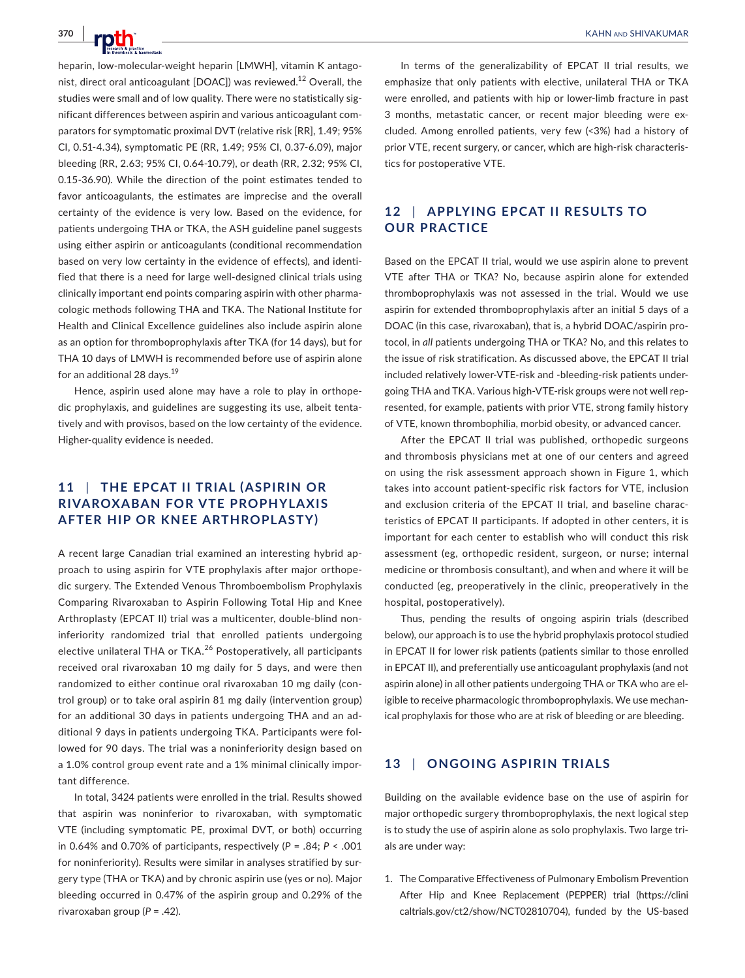heparin, low-molecular-weight heparin [LMWH], vitamin K antagonist, direct oral anticoagulant [DOAC]) was reviewed.<sup>12</sup> Overall, the studies were small and of low quality. There were no statistically significant differences between aspirin and various anticoagulant comparators for symptomatic proximal DVT (relative risk [RR], 1.49; 95% CI, 0.51-4.34), symptomatic PE (RR, 1.49; 95% CI, 0.37-6.09), major bleeding (RR, 2.63; 95% CI, 0.64-10.79), or death (RR, 2.32; 95% CI, 0.15-36.90). While the direction of the point estimates tended to favor anticoagulants, the estimates are imprecise and the overall certainty of the evidence is very low. Based on the evidence, for patients undergoing THA or TKA, the ASH guideline panel suggests using either aspirin or anticoagulants (conditional recommendation based on very low certainty in the evidence of effects), and identified that there is a need for large well-designed clinical trials using clinically important end points comparing aspirin with other pharmacologic methods following THA and TKA. The National Institute for Health and Clinical Excellence guidelines also include aspirin alone as an option for thromboprophylaxis after TKA (for 14 days), but for THA 10 days of LMWH is recommended before use of aspirin alone for an additional 28 days.<sup>19</sup>

Hence, aspirin used alone may have a role to play in orthopedic prophylaxis, and guidelines are suggesting its use, albeit tentatively and with provisos, based on the low certainty of the evidence. Higher-quality evidence is needed.

# **11** | **THE EPCAT II TRIAL (ASPIRIN OR RIVAROXABAN FOR VTE PROPHYLAXIS AFTER HIP OR KNEE ARTHROPLASTY)**

A recent large Canadian trial examined an interesting hybrid approach to using aspirin for VTE prophylaxis after major orthopedic surgery. The Extended Venous Thromboembolism Prophylaxis Comparing Rivaroxaban to Aspirin Following Total Hip and Knee Arthroplasty (EPCAT II) trial was a multicenter, double-blind noninferiority randomized trial that enrolled patients undergoing elective unilateral THA or TKA.<sup>26</sup> Postoperatively, all participants received oral rivaroxaban 10 mg daily for 5 days, and were then randomized to either continue oral rivaroxaban 10 mg daily (control group) or to take oral aspirin 81 mg daily (intervention group) for an additional 30 days in patients undergoing THA and an additional 9 days in patients undergoing TKA. Participants were followed for 90 days. The trial was a noninferiority design based on a 1.0% control group event rate and a 1% minimal clinically important difference.

In total, 3424 patients were enrolled in the trial. Results showed that aspirin was noninferior to rivaroxaban, with symptomatic VTE (including symptomatic PE, proximal DVT, or both) occurring in 0.64% and 0.70% of participants, respectively (*P* = .84; *P* < .001 for noninferiority). Results were similar in analyses stratified by surgery type (THA or TKA) and by chronic aspirin use (yes or no). Major bleeding occurred in 0.47% of the aspirin group and 0.29% of the rivaroxaban group (*P* = .42).

In terms of the generalizability of EPCAT II trial results, we emphasize that only patients with elective, unilateral THA or TKA were enrolled, and patients with hip or lower-limb fracture in past 3 months, metastatic cancer, or recent major bleeding were excluded. Among enrolled patients, very few (<3%) had a history of prior VTE, recent surgery, or cancer, which are high-risk characteristics for postoperative VTE.

# **12** | **APPLYING EPCAT II RESULTS TO OUR PRACTICE**

Based on the EPCAT II trial, would we use aspirin alone to prevent VTE after THA or TKA? No, because aspirin alone for extended thromboprophylaxis was not assessed in the trial. Would we use aspirin for extended thromboprophylaxis after an initial 5 days of a DOAC (in this case, rivaroxaban), that is, a hybrid DOAC/aspirin protocol, in *all* patients undergoing THA or TKA? No, and this relates to the issue of risk stratification. As discussed above, the EPCAT II trial included relatively lower-VTE-risk and -bleeding-risk patients undergoing THA and TKA. Various high-VTE-risk groups were not well represented, for example, patients with prior VTE, strong family history of VTE, known thrombophilia, morbid obesity, or advanced cancer.

After the EPCAT II trial was published, orthopedic surgeons and thrombosis physicians met at one of our centers and agreed on using the risk assessment approach shown in Figure 1, which takes into account patient-specific risk factors for VTE, inclusion and exclusion criteria of the EPCAT II trial, and baseline characteristics of EPCAT II participants. If adopted in other centers, it is important for each center to establish who will conduct this risk assessment (eg, orthopedic resident, surgeon, or nurse; internal medicine or thrombosis consultant), and when and where it will be conducted (eg, preoperatively in the clinic, preoperatively in the hospital, postoperatively).

Thus, pending the results of ongoing aspirin trials (described below), our approach is to use the hybrid prophylaxis protocol studied in EPCAT II for lower risk patients (patients similar to those enrolled in EPCAT II), and preferentially use anticoagulant prophylaxis (and not aspirin alone) in all other patients undergoing THA or TKA who are eligible to receive pharmacologic thromboprophylaxis. We use mechanical prophylaxis for those who are at risk of bleeding or are bleeding.

## **13** | **ONGOING ASPIRIN TRIALS**

Building on the available evidence base on the use of aspirin for major orthopedic surgery thromboprophylaxis, the next logical step is to study the use of aspirin alone as solo prophylaxis. Two large trials are under way:

1. The Comparative Effectiveness of Pulmonary Embolism Prevention After Hip and Knee Replacement (PEPPER) trial (https://clini caltrials.gov/ct2/show/NCT02810704), funded by the US-based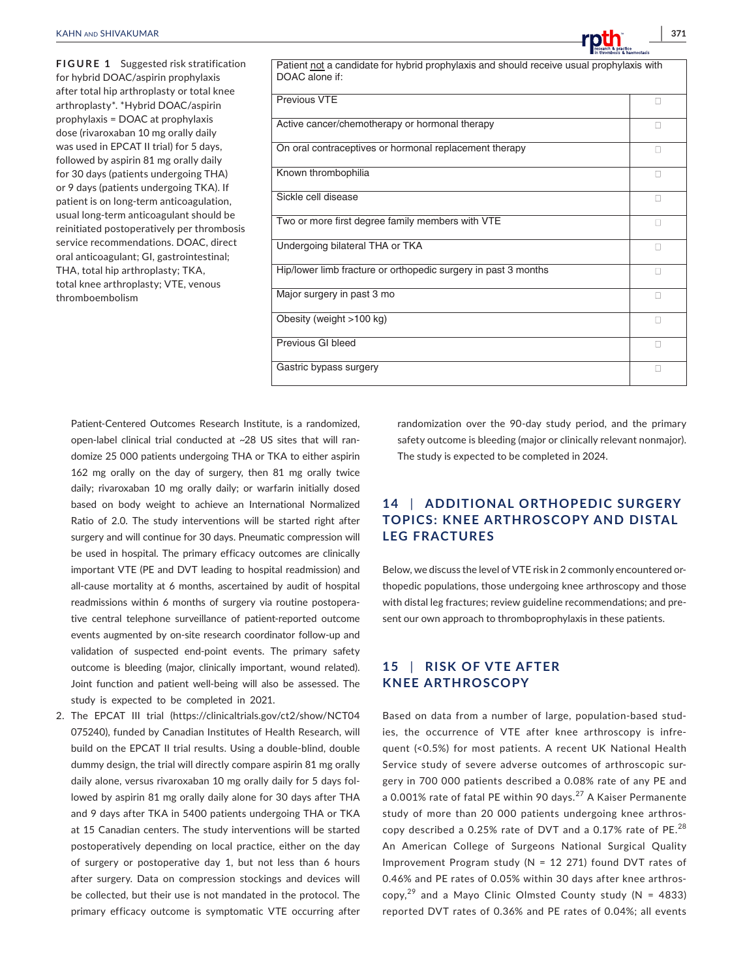**FIGURE 1** Suggested risk stratification for hybrid DOAC/aspirin prophylaxis after total hip arthroplasty or total knee arthroplasty\*. \*Hybrid DOAC/aspirin prophylaxis = DOAC at prophylaxis dose (rivaroxaban 10 mg orally daily was used in EPCAT II trial) for 5 days, followed by aspirin 81 mg orally daily for 30 days (patients undergoing THA) or 9 days (patients undergoing TKA). If patient is on long-term anticoagulation, usual long-term anticoagulant should be reinitiated postoperatively per thrombosis service recommendations. DOAC, direct oral anticoagulant; GI, gastrointestinal; THA, total hip arthroplasty; TKA, total knee arthroplasty; VTE, venous thromboembolism

Patient not a candidate for hybrid prophylaxis and should receive usual prophylaxis with DOAC alone if: Previous VTE  $\Box$ Active cancer/chemotherapy or hormonal therapy  $\Box$ On oral contraceptives or hormonal replacement therapy  $\Box$ Known thrombophilia  $\Box$ Sickle cell disease  $\Box$ Two or more first degree family members with VTE  $\Box$ Undergoing bilateral THA or TKA  $\Box$ Hip/lower limb fracture or orthopedic surgery in past 3 months  $\Box$ Major surgery in past 3 mo  $\Box$ Obesity (weight >100 kg)  $\Box$ Previous GI bleed  $\overline{\Box}$ Gastric bypass surgery $\Box$ 

Patient-Centered Outcomes Research Institute, is a randomized, open-label clinical trial conducted at ~28 US sites that will randomize 25 000 patients undergoing THA or TKA to either aspirin 162 mg orally on the day of surgery, then 81 mg orally twice daily; rivaroxaban 10 mg orally daily; or warfarin initially dosed based on body weight to achieve an International Normalized Ratio of 2.0. The study interventions will be started right after surgery and will continue for 30 days. Pneumatic compression will be used in hospital. The primary efficacy outcomes are clinically important VTE (PE and DVT leading to hospital readmission) and all-cause mortality at 6 months, ascertained by audit of hospital readmissions within 6 months of surgery via routine postoperative central telephone surveillance of patient-reported outcome events augmented by on-site research coordinator follow-up and validation of suspected end-point events. The primary safety outcome is bleeding (major, clinically important, wound related). Joint function and patient well-being will also be assessed. The study is expected to be completed in 2021.

2. The EPCAT III trial (https://clinicaltrials.gov/ct2/show/NCT04 075240), funded by Canadian Institutes of Health Research, will build on the EPCAT II trial results. Using a double-blind, double dummy design, the trial will directly compare aspirin 81 mg orally daily alone, versus rivaroxaban 10 mg orally daily for 5 days followed by aspirin 81 mg orally daily alone for 30 days after THA and 9 days after TKA in 5400 patients undergoing THA or TKA at 15 Canadian centers. The study interventions will be started postoperatively depending on local practice, either on the day of surgery or postoperative day 1, but not less than 6 hours after surgery. Data on compression stockings and devices will be collected, but their use is not mandated in the protocol. The primary efficacy outcome is symptomatic VTE occurring after

randomization over the 90-day study period, and the primary safety outcome is bleeding (major or clinically relevant nonmajor). The study is expected to be completed in 2024.

# **14** | **ADDITIONAL ORTHOPEDIC SURGERY TOPICS: KNEE ARTHROSCOPY AND DISTAL LEG FRACTURES**

Below, we discuss the level of VTE risk in 2 commonly encountered orthopedic populations, those undergoing knee arthroscopy and those with distal leg fractures; review guideline recommendations; and present our own approach to thromboprophylaxis in these patients.

# **15** | **RISK OF VTE AFTER KNEE ARTHROSCOPY**

Based on data from a number of large, population-based studies, the occurrence of VTE after knee arthroscopy is infrequent (<0.5%) for most patients. A recent UK National Health Service study of severe adverse outcomes of arthroscopic surgery in 700 000 patients described a 0.08% rate of any PE and a 0.001% rate of fatal PE within 90 days.<sup>27</sup> A Kaiser Permanente study of more than 20 000 patients undergoing knee arthroscopy described a 0.25% rate of DVT and a 0.17% rate of PE. $^{28}$ An American College of Surgeons National Surgical Quality Improvement Program study (N = 12 271) found DVT rates of 0.46% and PE rates of 0.05% within 30 days after knee arthros $copy<sup>29</sup>$  and a Mayo Clinic Olmsted County study (N = 4833) reported DVT rates of 0.36% and PE rates of 0.04%; all events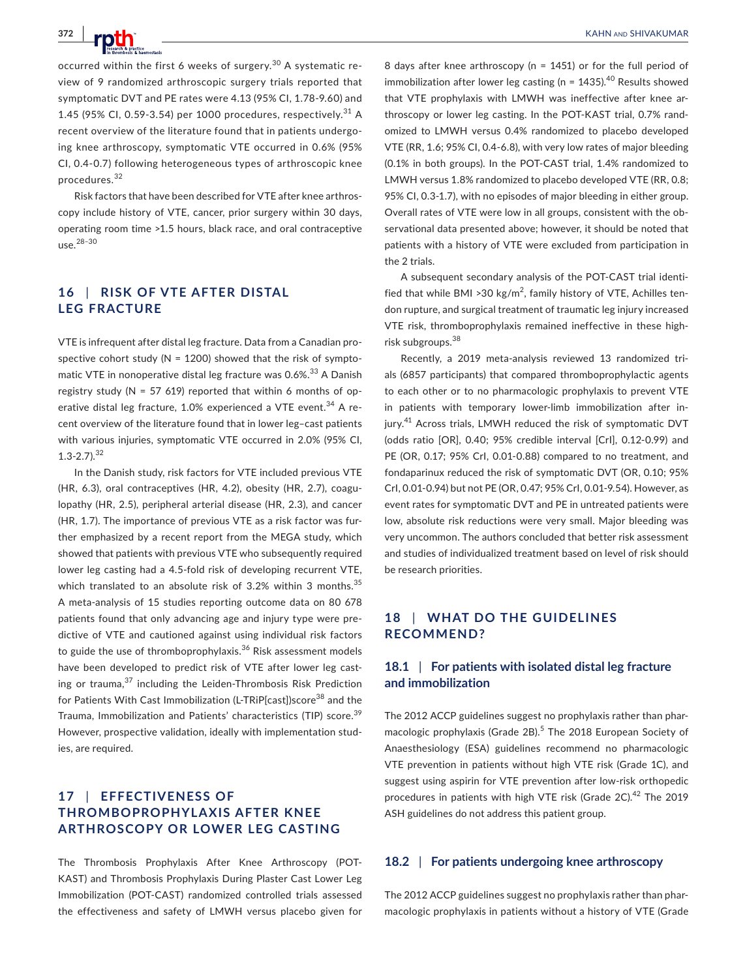occurred within the first 6 weeks of surgery.<sup>30</sup> A systematic review of 9 randomized arthroscopic surgery trials reported that symptomatic DVT and PE rates were 4.13 (95% CI, 1.78-9.60) and 1.45 (95% CJ, 0.59-3.54) per 1000 procedures, respectively.<sup>31</sup> A recent overview of the literature found that in patients undergoing knee arthroscopy, symptomatic VTE occurred in 0.6% (95% CI, 0.4-0.7) following heterogeneous types of arthroscopic knee procedures.<sup>32</sup>

Risk factors that have been described for VTE after knee arthroscopy include history of VTE, cancer, prior surgery within 30 days, operating room time >1.5 hours, black race, and oral contraceptive use.28‒30

# **16** | **RISK OF VTE AFTER DISTAL LEG FRACTURE**

VTE is infrequent after distal leg fracture. Data from a Canadian prospective cohort study ( $N = 1200$ ) showed that the risk of symptomatic VTE in nonoperative distal leg fracture was 0.6%.<sup>33</sup> A Danish registry study ( $N = 57619$ ) reported that within 6 months of operative distal leg fracture, 1.0% experienced a VTE event.<sup>34</sup> A recent overview of the literature found that in lower leg–cast patients with various injuries, symptomatic VTE occurred in 2.0% (95% CI,  $1.3 - 2.7$ ).  $32$ 

In the Danish study, risk factors for VTE included previous VTE (HR, 6.3), oral contraceptives (HR, 4.2), obesity (HR, 2.7), coagulopathy (HR, 2.5), peripheral arterial disease (HR, 2.3), and cancer (HR, 1.7). The importance of previous VTE as a risk factor was further emphasized by a recent report from the MEGA study, which showed that patients with previous VTE who subsequently required lower leg casting had a 4.5-fold risk of developing recurrent VTE, which translated to an absolute risk of 3.2% within 3 months.<sup>35</sup> A meta-analysis of 15 studies reporting outcome data on 80 678 patients found that only advancing age and injury type were predictive of VTE and cautioned against using individual risk factors to guide the use of thromboprophylaxis.<sup>36</sup> Risk assessment models have been developed to predict risk of VTE after lower leg casting or trauma,<sup>37</sup> including the Leiden-Thrombosis Risk Prediction for Patients With Cast Immobilization (L-TRiP[cast])score<sup>38</sup> and the Trauma, Immobilization and Patients' characteristics (TIP) score.<sup>39</sup> However, prospective validation, ideally with implementation studies, are required.

# **17** | **EFFECTIVENESS OF THROMBOPROPHYLAXIS AFTER KNEE ARTHROSCOPY OR LOWER LEG CASTING**

The Thrombosis Prophylaxis After Knee Arthroscopy (POT-KAST) and Thrombosis Prophylaxis During Plaster Cast Lower Leg Immobilization (POT-CAST) randomized controlled trials assessed the effectiveness and safety of LMWH versus placebo given for 8 days after knee arthroscopy (n = 1451) or for the full period of immobilization after lower leg casting ( $n = 1435$ ).<sup>40</sup> Results showed that VTE prophylaxis with LMWH was ineffective after knee arthroscopy or lower leg casting. In the POT-KAST trial, 0.7% randomized to LMWH versus 0.4% randomized to placebo developed VTE (RR, 1.6; 95% CI, 0.4-6.8), with very low rates of major bleeding (0.1% in both groups). In the POT-CAST trial, 1.4% randomized to LMWH versus 1.8% randomized to placebo developed VTE (RR, 0.8; 95% CI, 0.3-1.7), with no episodes of major bleeding in either group. Overall rates of VTE were low in all groups, consistent with the observational data presented above; however, it should be noted that patients with a history of VTE were excluded from participation in the 2 trials.

A subsequent secondary analysis of the POT-CAST trial identified that while BMI >30 kg/m<sup>2</sup>, family history of VTE, Achilles tendon rupture, and surgical treatment of traumatic leg injury increased VTE risk, thromboprophylaxis remained ineffective in these highrisk subgroups.<sup>38</sup>

Recently, a 2019 meta-analysis reviewed 13 randomized trials (6857 participants) that compared thromboprophylactic agents to each other or to no pharmacologic prophylaxis to prevent VTE in patients with temporary lower-limb immobilization after injury.<sup>41</sup> Across trials, LMWH reduced the risk of symptomatic DVT (odds ratio [OR], 0.40; 95% credible interval [CrI], 0.12-0.99) and PE (OR, 0.17; 95% CrI, 0.01-0.88) compared to no treatment, and fondaparinux reduced the risk of symptomatic DVT (OR, 0.10; 95% CrI, 0.01-0.94) but not PE (OR, 0.47; 95% CrI, 0.01-9.54). However, as event rates for symptomatic DVT and PE in untreated patients were low, absolute risk reductions were very small. Major bleeding was very uncommon. The authors concluded that better risk assessment and studies of individualized treatment based on level of risk should be research priorities.

# **18** | **WHAT DO THE GUIDELINES RECOMMEND?**

# **18.1** | **For patients with isolated distal leg fracture and immobilization**

The 2012 ACCP guidelines suggest no prophylaxis rather than pharmacologic prophylaxis (Grade 2B).<sup>5</sup> The 2018 European Society of Anaesthesiology (ESA) guidelines recommend no pharmacologic VTE prevention in patients without high VTE risk (Grade 1C), and suggest using aspirin for VTE prevention after low-risk orthopedic procedures in patients with high VTE risk (Grade 2C).<sup>42</sup> The 2019 ASH guidelines do not address this patient group.

#### **18.2** | **For patients undergoing knee arthroscopy**

The 2012 ACCP guidelines suggest no prophylaxis rather than pharmacologic prophylaxis in patients without a history of VTE (Grade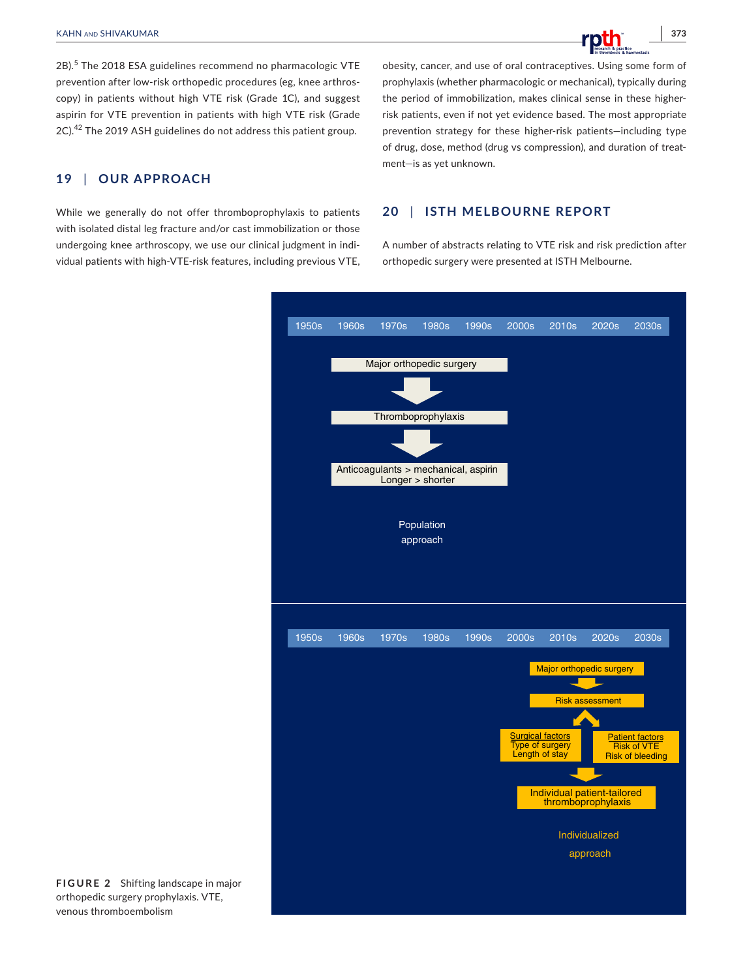obesity, cancer, and use of oral contraceptives. Using some form of prophylaxis (whether pharmacologic or mechanical), typically during the period of immobilization, makes clinical sense in these higherrisk patients, even if not yet evidence based. The most appropriate prevention strategy for these higher-risk patients—including type of drug, dose, method (drug vs compression), and duration of treatment—is as yet unknown.

## **19** | **OUR APPROACH**

While we generally do not offer thromboprophylaxis to patients with isolated distal leg fracture and/or cast immobilization or those undergoing knee arthroscopy, we use our clinical judgment in individual patients with high-VTE-risk features, including previous VTE,

2B).<sup>5</sup> The 2018 ESA guidelines recommend no pharmacologic VTE prevention after low-risk orthopedic procedures (eg, knee arthroscopy) in patients without high VTE risk (Grade 1C), and suggest aspirin for VTE prevention in patients with high VTE risk (Grade 2C).<sup>42</sup> The 2019 ASH guidelines do not address this patient group.

## **20** | **ISTH MELBOURNE REPORT**

A number of abstracts relating to VTE risk and risk prediction after orthopedic surgery were presented at ISTH Melbourne.



**FIGURE 2** Shifting landscape in major orthopedic surgery prophylaxis. VTE, venous thromboembolism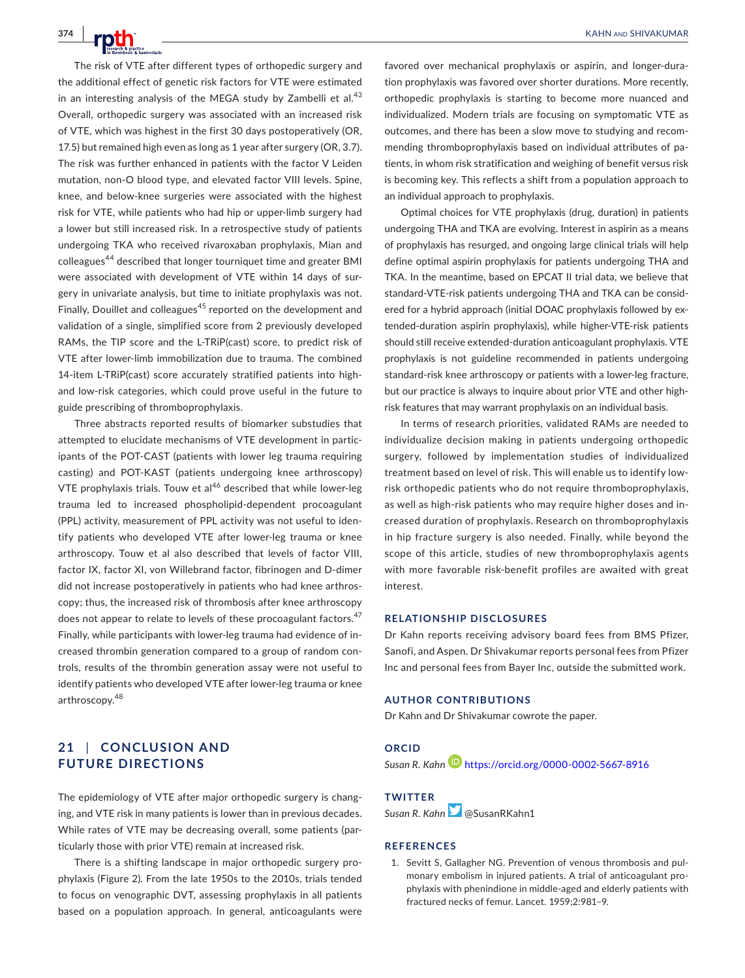The risk of VTE after different types of orthopedic surgery and the additional effect of genetic risk factors for VTE were estimated in an interesting analysis of the MEGA study by Zambelli et al. $43$ Overall, orthopedic surgery was associated with an increased risk of VTE, which was highest in the first 30 days postoperatively (OR, 17.5) but remained high even as long as 1 year after surgery (OR, 3.7). The risk was further enhanced in patients with the factor V Leiden mutation, non-O blood type, and elevated factor VIII levels. Spine, knee, and below-knee surgeries were associated with the highest risk for VTE, while patients who had hip or upper-limb surgery had a lower but still increased risk. In a retrospective study of patients undergoing TKA who received rivaroxaban prophylaxis, Mian and colleagues<sup>44</sup> described that longer tourniquet time and greater BMI were associated with development of VTE within 14 days of surgery in univariate analysis, but time to initiate prophylaxis was not. Finally, Douillet and colleagues<sup>45</sup> reported on the development and validation of a single, simplified score from 2 previously developed RAMs, the TIP score and the L-TRiP(cast) score, to predict risk of VTE after lower-limb immobilization due to trauma. The combined 14-item L-TRiP(cast) score accurately stratified patients into highand low-risk categories, which could prove useful in the future to guide prescribing of thromboprophylaxis.

Three abstracts reported results of biomarker substudies that attempted to elucidate mechanisms of VTE development in participants of the POT-CAST (patients with lower leg trauma requiring casting) and POT-KAST (patients undergoing knee arthroscopy) VTE prophylaxis trials. Touw et al<sup>46</sup> described that while lower-leg trauma led to increased phospholipid-dependent procoagulant (PPL) activity, measurement of PPL activity was not useful to identify patients who developed VTE after lower-leg trauma or knee arthroscopy. Touw et al also described that levels of factor VIII, factor IX, factor XI, von Willebrand factor, fibrinogen and D-dimer did not increase postoperatively in patients who had knee arthroscopy; thus, the increased risk of thrombosis after knee arthroscopy does not appear to relate to levels of these procoagulant factors.<sup>47</sup> Finally, while participants with lower-leg trauma had evidence of increased thrombin generation compared to a group of random controls, results of the thrombin generation assay were not useful to identify patients who developed VTE after lower-leg trauma or knee arthroscopy.<sup>48</sup>

## **21** | **CONCLUSION AND FUTURE DIRECTIONS**

The epidemiology of VTE after major orthopedic surgery is changing, and VTE risk in many patients is lower than in previous decades. While rates of VTE may be decreasing overall, some patients (particularly those with prior VTE) remain at increased risk.

There is a shifting landscape in major orthopedic surgery prophylaxis (Figure 2). From the late 1950s to the 2010s, trials tended to focus on venographic DVT, assessing prophylaxis in all patients based on a population approach. In general, anticoagulants were

favored over mechanical prophylaxis or aspirin, and longer-duration prophylaxis was favored over shorter durations. More recently, orthopedic prophylaxis is starting to become more nuanced and individualized. Modern trials are focusing on symptomatic VTE as outcomes, and there has been a slow move to studying and recommending thromboprophylaxis based on individual attributes of patients, in whom risk stratification and weighing of benefit versus risk is becoming key. This reflects a shift from a population approach to an individual approach to prophylaxis.

Optimal choices for VTE prophylaxis (drug, duration) in patients undergoing THA and TKA are evolving. Interest in aspirin as a means of prophylaxis has resurged, and ongoing large clinical trials will help define optimal aspirin prophylaxis for patients undergoing THA and TKA. In the meantime, based on EPCAT II trial data, we believe that standard-VTE-risk patients undergoing THA and TKA can be considered for a hybrid approach (initial DOAC prophylaxis followed by extended-duration aspirin prophylaxis), while higher-VTE-risk patients should still receive extended-duration anticoagulant prophylaxis. VTE prophylaxis is not guideline recommended in patients undergoing standard-risk knee arthroscopy or patients with a lower-leg fracture, but our practice is always to inquire about prior VTE and other highrisk features that may warrant prophylaxis on an individual basis.

In terms of research priorities, validated RAMs are needed to individualize decision making in patients undergoing orthopedic surgery, followed by implementation studies of individualized treatment based on level of risk. This will enable us to identify lowrisk orthopedic patients who do not require thromboprophylaxis, as well as high-risk patients who may require higher doses and increased duration of prophylaxis. Research on thromboprophylaxis in hip fracture surgery is also needed. Finally, while beyond the scope of this article, studies of new thromboprophylaxis agents with more favorable risk-benefit profiles are awaited with great interest.

#### **RELATIONSHIP DISCLOSURES**

Dr Kahn reports receiving advisory board fees from BMS Pfizer, Sanofi, and Aspen. Dr Shivakumar reports personal fees from Pfizer Inc and personal fees from Bayer Inc, outside the submitted work.

#### **AUTHOR CONTRIBUTIONS**

Dr Kahn and Dr Shivakumar cowrote the paper.

## **ORCID**

*Susan R. Kahn* https://orcid.org/0000-0002-5667-8916

### **TWITTER**

*Susan R. Kahn* @SusanRKahn1

#### **REFERENCES**

1. Sevitt S, Gallagher NG. Prevention of venous thrombosis and pulmonary embolism in injured patients. A trial of anticoagulant prophylaxis with phenindione in middle-aged and elderly patients with fractured necks of femur. Lancet. 1959;2:981–9.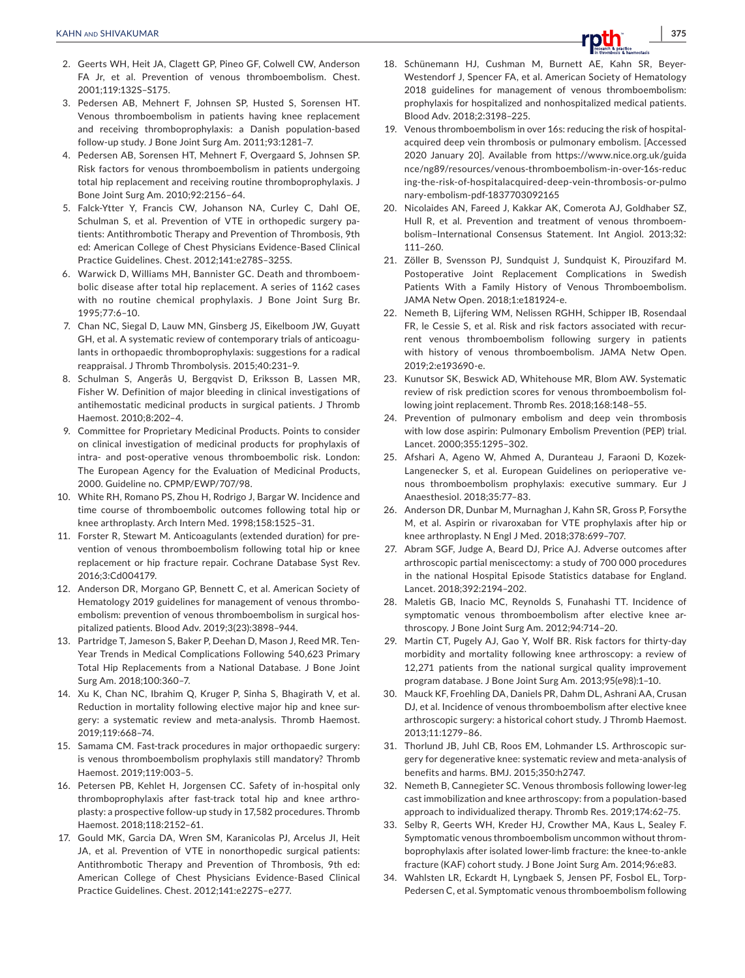- 2. Geerts WH, Heit JA, Clagett GP, Pineo GF, Colwell CW, Anderson FA Jr, et al. Prevention of venous thromboembolism. Chest. 2001;119:132S–S175.
- 3. Pedersen AB, Mehnert F, Johnsen SP, Husted S, Sorensen HT. Venous thromboembolism in patients having knee replacement and receiving thromboprophylaxis: a Danish population-based follow-up study. J Bone Joint Surg Am. 2011;93:1281–7.
- 4. Pedersen AB, Sorensen HT, Mehnert F, Overgaard S, Johnsen SP. Risk factors for venous thromboembolism in patients undergoing total hip replacement and receiving routine thromboprophylaxis. J Bone Joint Surg Am. 2010;92:2156–64.
- 5. Falck-Ytter Y, Francis CW, Johanson NA, Curley C, Dahl OE, Schulman S, et al. Prevention of VTE in orthopedic surgery patients: Antithrombotic Therapy and Prevention of Thrombosis, 9th ed: American College of Chest Physicians Evidence-Based Clinical Practice Guidelines. Chest. 2012;141:e278S–325S.
- 6. Warwick D, Williams MH, Bannister GC. Death and thromboembolic disease after total hip replacement. A series of 1162 cases with no routine chemical prophylaxis. J Bone Joint Surg Br. 1995;77:6–10.
- 7. Chan NC, Siegal D, Lauw MN, Ginsberg JS, Eikelboom JW, Guyatt GH, et al. A systematic review of contemporary trials of anticoagulants in orthopaedic thromboprophylaxis: suggestions for a radical reappraisal. J Thromb Thrombolysis. 2015;40:231–9.
- 8. Schulman S, Angerås U, Bergqvist D, Eriksson B, Lassen MR, Fisher W. Definition of major bleeding in clinical investigations of antihemostatic medicinal products in surgical patients. J Thromb Haemost. 2010;8:202–4.
- 9. Committee for Proprietary Medicinal Products. Points to consider on clinical investigation of medicinal products for prophylaxis of intra- and post-operative venous thromboembolic risk. London: The European Agency for the Evaluation of Medicinal Products, 2000. Guideline no. CPMP/EWP/707/98.
- 10. White RH, Romano PS, Zhou H, Rodrigo J, Bargar W. Incidence and time course of thromboembolic outcomes following total hip or knee arthroplasty. Arch Intern Med. 1998;158:1525–31.
- 11. Forster R, Stewart M. Anticoagulants (extended duration) for prevention of venous thromboembolism following total hip or knee replacement or hip fracture repair. Cochrane Database Syst Rev. 2016;3:Cd004179.
- 12. Anderson DR, Morgano GP, Bennett C, et al. American Society of Hematology 2019 guidelines for management of venous thromboembolism: prevention of venous thromboembolism in surgical hospitalized patients. Blood Adv. 2019;3(23):3898–944.
- 13. Partridge T, Jameson S, Baker P, Deehan D, Mason J, Reed MR. Ten-Year Trends in Medical Complications Following 540,623 Primary Total Hip Replacements from a National Database. J Bone Joint Surg Am. 2018;100:360–7.
- 14. Xu K, Chan NC, Ibrahim Q, Kruger P, Sinha S, Bhagirath V, et al. Reduction in mortality following elective major hip and knee surgery: a systematic review and meta-analysis. Thromb Haemost. 2019;119:668–74.
- 15. Samama CM. Fast-track procedures in major orthopaedic surgery: is venous thromboembolism prophylaxis still mandatory? Thromb Haemost. 2019;119:003–5.
- 16. Petersen PB, Kehlet H, Jorgensen CC. Safety of in-hospital only thromboprophylaxis after fast-track total hip and knee arthroplasty: a prospective follow-up study in 17,582 procedures. Thromb Haemost. 2018;118:2152–61.
- 17. Gould MK, Garcia DA, Wren SM, Karanicolas PJ, Arcelus JI, Heit JA, et al. Prevention of VTE in nonorthopedic surgical patients: Antithrombotic Therapy and Prevention of Thrombosis, 9th ed: American College of Chest Physicians Evidence-Based Clinical Practice Guidelines. Chest. 2012;141:e227S–e277.
- 18. Schünemann HJ, Cushman M, Burnett AE, Kahn SR, Beyer-Westendorf J, Spencer FA, et al. American Society of Hematology 2018 guidelines for management of venous thromboembolism: prophylaxis for hospitalized and nonhospitalized medical patients. Blood Adv. 2018;2:3198–225.
- 19. Venous thromboembolism in over 16s: reducing the risk of hospitalacquired deep vein thrombosis or pulmonary embolism. [Accessed 2020 January 20]. Available from https://www.nice.org.uk/guida nce/ng89/resources/venous-thromboembolism-in-over-16s-reduc ing-the-risk-of-hospitalacquired-deep-vein-thrombosis-or-pulmo nary-embolism-pdf-1837703092165
- 20. Nicolaides AN, Fareed J, Kakkar AK, Comerota AJ, Goldhaber SZ, Hull R, et al. Prevention and treatment of venous thromboembolism–International Consensus Statement. Int Angiol. 2013;32: 111–260.
- 21. Zöller B, Svensson PJ, Sundquist J, Sundquist K, Pirouzifard M. Postoperative Joint Replacement Complications in Swedish Patients With a Family History of Venous Thromboembolism. JAMA Netw Open. 2018;1:e181924-e.
- 22. Nemeth B, Lijfering WM, Nelissen RGHH, Schipper IB, Rosendaal FR, le Cessie S, et al. Risk and risk factors associated with recurrent venous thromboembolism following surgery in patients with history of venous thromboembolism. JAMA Netw Open. 2019;2:e193690-e.
- 23. Kunutsor SK, Beswick AD, Whitehouse MR, Blom AW. Systematic review of risk prediction scores for venous thromboembolism following joint replacement. Thromb Res. 2018;168:148–55.
- 24. Prevention of pulmonary embolism and deep vein thrombosis with low dose aspirin: Pulmonary Embolism Prevention (PEP) trial. Lancet. 2000;355:1295–302.
- 25. Afshari A, Ageno W, Ahmed A, Duranteau J, Faraoni D, Kozek-Langenecker S, et al. European Guidelines on perioperative venous thromboembolism prophylaxis: executive summary. Eur J Anaesthesiol. 2018;35:77–83.
- 26. Anderson DR, Dunbar M, Murnaghan J, Kahn SR, Gross P, Forsythe M, et al. Aspirin or rivaroxaban for VTE prophylaxis after hip or knee arthroplasty. N Engl J Med. 2018;378:699–707.
- 27. Abram SGF, Judge A, Beard DJ, Price AJ. Adverse outcomes after arthroscopic partial meniscectomy: a study of 700 000 procedures in the national Hospital Episode Statistics database for England. Lancet. 2018;392:2194–202.
- 28. Maletis GB, Inacio MC, Reynolds S, Funahashi TT. Incidence of symptomatic venous thromboembolism after elective knee arthroscopy. J Bone Joint Surg Am. 2012;94:714–20.
- 29. Martin CT, Pugely AJ, Gao Y, Wolf BR. Risk factors for thirty-day morbidity and mortality following knee arthroscopy: a review of 12,271 patients from the national surgical quality improvement program database. J Bone Joint Surg Am. 2013;95(e98):1–10.
- 30. Mauck KF, Froehling DA, Daniels PR, Dahm DL, Ashrani AA, Crusan DJ, et al. Incidence of venous thromboembolism after elective knee arthroscopic surgery: a historical cohort study. J Thromb Haemost. 2013;11:1279–86.
- 31. Thorlund JB, Juhl CB, Roos EM, Lohmander LS. Arthroscopic surgery for degenerative knee: systematic review and meta-analysis of benefits and harms. BMJ. 2015;350:h2747.
- 32. Nemeth B, Cannegieter SC. Venous thrombosis following lower-leg cast immobilization and knee arthroscopy: from a population-based approach to individualized therapy. Thromb Res. 2019;174:62–75.
- 33. Selby R, Geerts WH, Kreder HJ, Crowther MA, Kaus L, Sealey F. Symptomatic venous thromboembolism uncommon without thromboprophylaxis after isolated lower-limb fracture: the knee-to-ankle fracture (KAF) cohort study. J Bone Joint Surg Am. 2014;96:e83.
- 34. Wahlsten LR, Eckardt H, Lyngbaek S, Jensen PF, Fosbol EL, Torp-Pedersen C, et al. Symptomatic venous thromboembolism following